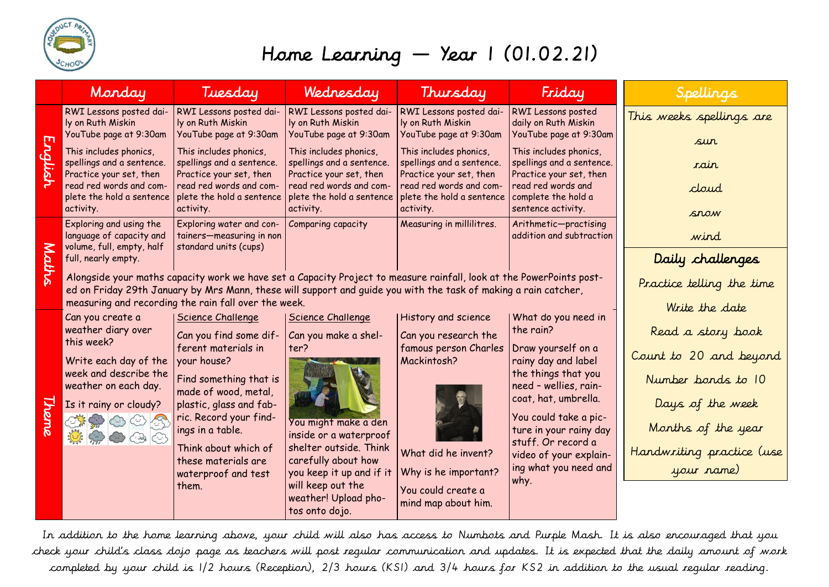

## Home Learning — Year 1 (01.02.21)

|              | Monday                                                                                                                                                                                                                                                                                          | Tuesday                                                                                                                                                                                                                                                                | Wednesday                                                                                                                                                                                                | Thursday                                                                                                                                                 | Friday                                                                                                                                                                                                                                                             | Spellings                                                                                                                                              |
|--------------|-------------------------------------------------------------------------------------------------------------------------------------------------------------------------------------------------------------------------------------------------------------------------------------------------|------------------------------------------------------------------------------------------------------------------------------------------------------------------------------------------------------------------------------------------------------------------------|----------------------------------------------------------------------------------------------------------------------------------------------------------------------------------------------------------|----------------------------------------------------------------------------------------------------------------------------------------------------------|--------------------------------------------------------------------------------------------------------------------------------------------------------------------------------------------------------------------------------------------------------------------|--------------------------------------------------------------------------------------------------------------------------------------------------------|
| English      | RWI Lessons posted dai-<br>ly on Ruth Miskin<br>YouTube page at 9:30am                                                                                                                                                                                                                          | RWI Lessons posted dai-<br>ly on Ruth Miskin<br>YouTube page at 9:30am                                                                                                                                                                                                 | RWI Lessons posted dai-<br>ly on Ruth Miskin<br>YouTube page at 9:30am                                                                                                                                   | RWI Lessons posted dai-<br>ly on Ruth Miskin<br>YouTube page at 9:30am                                                                                   | RWI Lessons posted<br>daily on Ruth Miskin<br>YouTube page at 9:30am                                                                                                                                                                                               | This weeks spellings are                                                                                                                               |
|              | This includes phonics,<br>spellings and a sentence.<br>Practice your set, then<br>read red words and com-<br>plete the hold a sentence<br>activity.                                                                                                                                             | This includes phonics,<br>spellings and a sentence.<br>Practice your set, then<br>read red words and com-<br>plete the hold a sentence<br>activity.                                                                                                                    | This includes phonics,<br>spellings and a sentence.<br>Practice your set, then<br>read red words and com-<br>plete the hold a sentence<br>activity.                                                      | This includes phonics,<br>spellings and a sentence.<br>Practice your set, then<br>read red words and com-<br>plete the hold a sentence<br>activity.      | This includes phonics,<br>spellings and a sentence.<br>Practice your set, then<br>read red words and<br>complete the hold a<br>sentence activity.                                                                                                                  | sur<br>rain<br>cloud<br>snow                                                                                                                           |
|              | Exploring and using the<br>language of capacity and<br>volume, full, empty, half<br>full, nearly empty.                                                                                                                                                                                         | Exploring water and con-<br>tainers-measuring in non<br>standard units (cups)                                                                                                                                                                                          | Comparing capacity                                                                                                                                                                                       | Measuring in millilitres.                                                                                                                                | Arithmetic-practising<br>addition and subtraction                                                                                                                                                                                                                  | wind<br>Daily challenges                                                                                                                               |
| Maths        | Alongside your maths capacity work we have set a Capacity Project to measure rainfall, look at the PowerPoints post-<br>ed on Friday 29th January by Mrs Mann, these will support and quide you with the task of making a rain catcher,<br>measuring and recording the rain fall over the week. | Practice telling the time                                                                                                                                                                                                                                              |                                                                                                                                                                                                          |                                                                                                                                                          |                                                                                                                                                                                                                                                                    |                                                                                                                                                        |
|              | Can you create a                                                                                                                                                                                                                                                                                | Science Challenge                                                                                                                                                                                                                                                      | <b>Science Challenge</b>                                                                                                                                                                                 | <b>History and science</b>                                                                                                                               | What do you need in                                                                                                                                                                                                                                                | Write the date                                                                                                                                         |
| <u>Theme</u> | weather diary over<br>this week?<br>Write each day of the<br>week and describe the<br>weather on each day.<br>Is it rainy or cloudy?                                                                                                                                                            | Can you find some dif-<br>ferent materials in<br>your house?<br>Find something that is<br>made of wood, metal,<br>plastic, glass and fab-<br>ric. Record your find-<br>ings in a table.<br>Think about which of<br>these materials are<br>waterproof and test<br>them. | Can you make a shel-<br>ter?<br>You might make a den<br>inside or a waterproof<br>shelter outside. Think<br>carefully about how<br>you keep it up and if it<br>will keep out the<br>weather! Upload pho- | Can you research the<br>famous person Charles<br>Mackintosh?<br>What did he invent?<br>Why is he important?<br>You could create a<br>mind map about him. | the rain?<br>Draw yourself on a<br>rainy day and label<br>the things that you<br>need - wellies, rain-<br>coat, hat, umbrella.<br>You could take a pic-<br>ture in your rainy day<br>stuff. Or record a<br>video of your explain-<br>ing what you need and<br>why. | Read a story book<br>Count to 20 and beyond<br>Number bands to 10<br>Days of the week<br>Months of the year<br>Handwriting practice (use<br>your name) |

In addition to the home learning above, your child will also has access to Numbots and Purple Mash. It is also encouraged that you check your child's class dojo page as teachers will post regular communication and updates. It is expected that the daily amount of work completed by your child is 1/2 hours (Reception), 2/3 hours (KS1) and 3/4 hours for KS2 in addition to the usual regular reading.